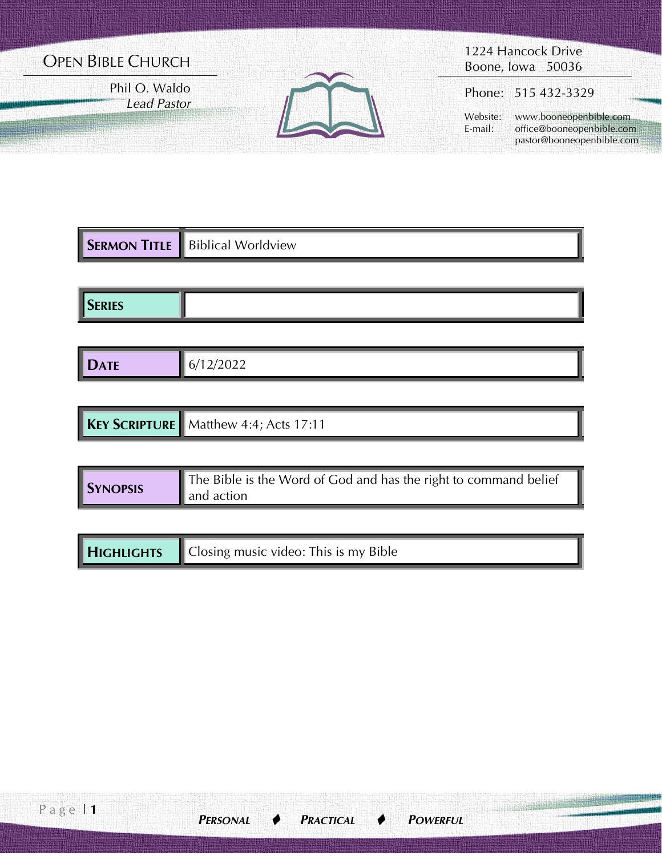# OPEN BIBLE CHURCH

Phil O. Waldo *Lead Pastor*



1224 Hancock Drive Boone, Iowa 50036

Phone: 515 432-3329

 Website: www.booneopenbible.com E-mail: office@booneopenbible.com pastor@booneopenbible.com

|               | <b>SERMON TITLE</b> Biblical Worldview |
|---------------|----------------------------------------|
|               |                                        |
| <b>SERIES</b> |                                        |

| <b>I DATE</b><br>-<br><b>Service Service</b> | . .<br>---- |
|----------------------------------------------|-------------|

| <b>KEY SCRIPTURE</b> Matthew 4:4; Acts 17:11 |
|----------------------------------------------|
|----------------------------------------------|

| <b>SYNOPSIS</b> | The Bible is the Word of God and has the right to command belief |
|-----------------|------------------------------------------------------------------|
|                 | $\parallel$ and action                                           |

| <b>HIGHLIGHTS</b><br>△ Closing music video: This is my Bible |  |
|--------------------------------------------------------------|--|
|--------------------------------------------------------------|--|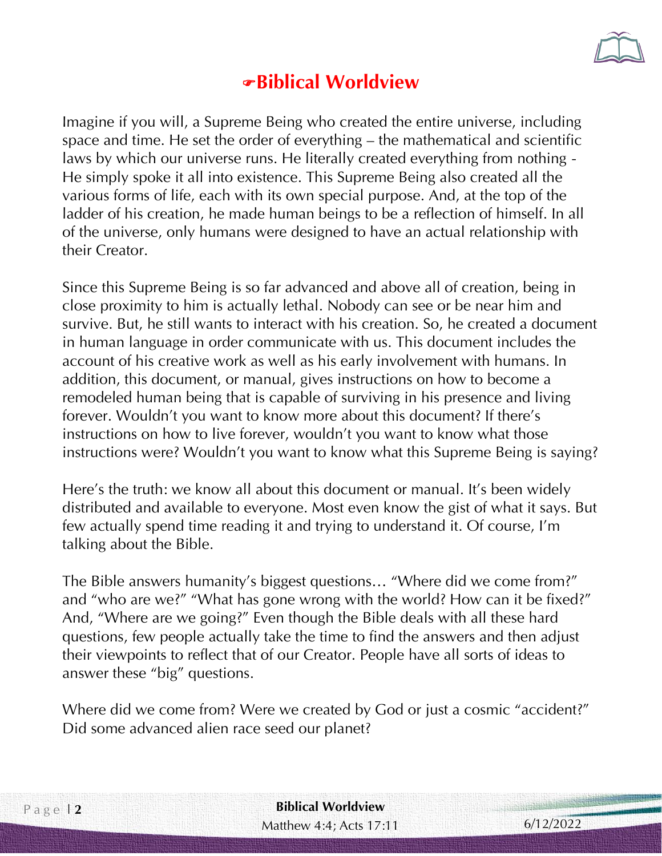

# **Biblical Worldview**

Imagine if you will, a Supreme Being who created the entire universe, including space and time. He set the order of everything – the mathematical and scientific laws by which our universe runs. He literally created everything from nothing - He simply spoke it all into existence. This Supreme Being also created all the various forms of life, each with its own special purpose. And, at the top of the ladder of his creation, he made human beings to be a reflection of himself. In all of the universe, only humans were designed to have an actual relationship with their Creator.

Since this Supreme Being is so far advanced and above all of creation, being in close proximity to him is actually lethal. Nobody can see or be near him and survive. But, he still wants to interact with his creation. So, he created a document in human language in order communicate with us. This document includes the account of his creative work as well as his early involvement with humans. In addition, this document, or manual, gives instructions on how to become a remodeled human being that is capable of surviving in his presence and living forever. Wouldn't you want to know more about this document? If there's instructions on how to live forever, wouldn't you want to know what those instructions were? Wouldn't you want to know what this Supreme Being is saying?

Here's the truth: we know all about this document or manual. It's been widely distributed and available to everyone. Most even know the gist of what it says. But few actually spend time reading it and trying to understand it. Of course, I'm talking about the Bible.

The Bible answers humanity's biggest questions… "Where did we come from?" and "who are we?" "What has gone wrong with the world? How can it be fixed?" And, "Where are we going?" Even though the Bible deals with all these hard questions, few people actually take the time to find the answers and then adjust their viewpoints to reflect that of our Creator. People have all sorts of ideas to answer these "big" questions.

Where did we come from? Were we created by God or just a cosmic "accident?" Did some advanced alien race seed our planet?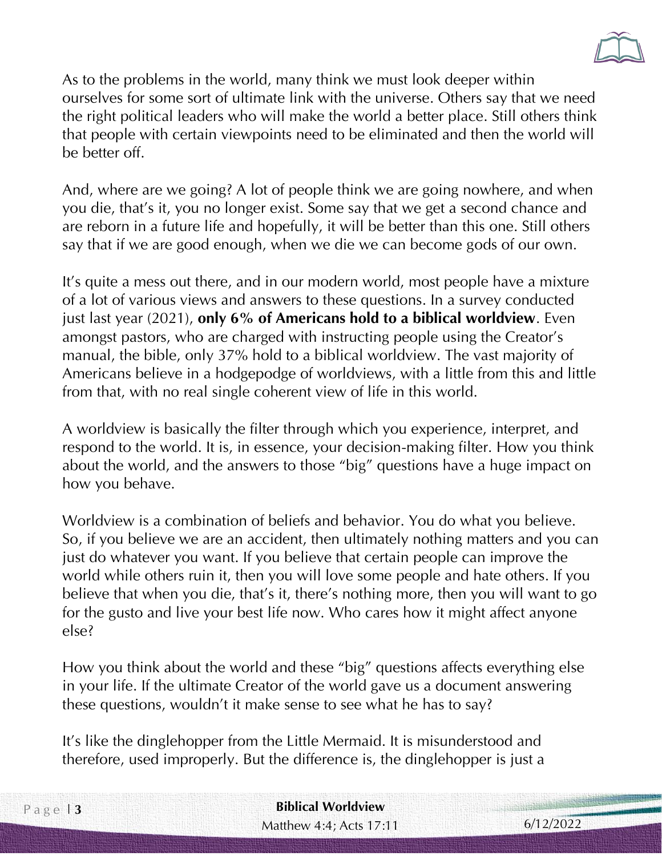

As to the problems in the world, many think we must look deeper within ourselves for some sort of ultimate link with the universe. Others say that we need the right political leaders who will make the world a better place. Still others think that people with certain viewpoints need to be eliminated and then the world will be better off.

And, where are we going? A lot of people think we are going nowhere, and when you die, that's it, you no longer exist. Some say that we get a second chance and are reborn in a future life and hopefully, it will be better than this one. Still others say that if we are good enough, when we die we can become gods of our own.

It's quite a mess out there, and in our modern world, most people have a mixture of a lot of various views and answers to these questions. In a survey conducted just last year (2021), **only 6% of Americans hold to a biblical worldview**. Even amongst pastors, who are charged with instructing people using the Creator's manual, the bible, only 37% hold to a biblical worldview. The vast majority of Americans believe in a hodgepodge of worldviews, with a little from this and little from that, with no real single coherent view of life in this world.

A worldview is basically the filter through which you experience, interpret, and respond to the world. It is, in essence, your decision-making filter. How you think about the world, and the answers to those "big" questions have a huge impact on how you behave.

Worldview is a combination of beliefs and behavior. You do what you believe. So, if you believe we are an accident, then ultimately nothing matters and you can just do whatever you want. If you believe that certain people can improve the world while others ruin it, then you will love some people and hate others. If you believe that when you die, that's it, there's nothing more, then you will want to go for the gusto and live your best life now. Who cares how it might affect anyone else?

How you think about the world and these "big" questions affects everything else in your life. If the ultimate Creator of the world gave us a document answering these questions, wouldn't it make sense to see what he has to say?

It's like the dinglehopper from the Little Mermaid. It is misunderstood and therefore, used improperly. But the difference is, the dinglehopper is just a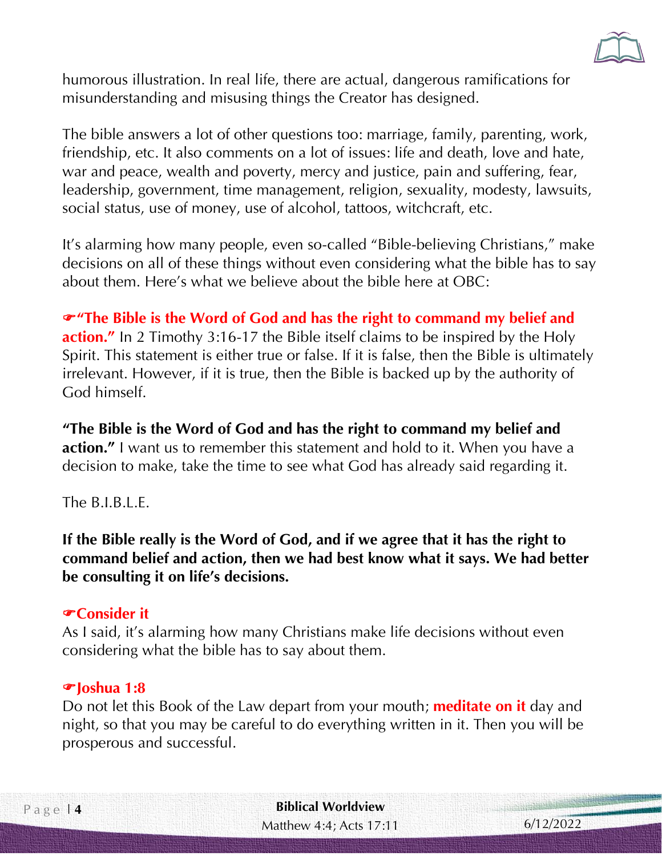

humorous illustration. In real life, there are actual, dangerous ramifications for misunderstanding and misusing things the Creator has designed.

The bible answers a lot of other questions too: marriage, family, parenting, work, friendship, etc. It also comments on a lot of issues: life and death, love and hate, war and peace, wealth and poverty, mercy and justice, pain and suffering, fear, leadership, government, time management, religion, sexuality, modesty, lawsuits, social status, use of money, use of alcohol, tattoos, witchcraft, etc.

It's alarming how many people, even so-called "Bible-believing Christians," make decisions on all of these things without even considering what the bible has to say about them. Here's what we believe about the bible here at OBC:

**"The Bible is the Word of God and has the right to command my belief and action."** In 2 Timothy 3:16-17 the Bible itself claims to be inspired by the Holy Spirit. This statement is either true or false. If it is false, then the Bible is ultimately irrelevant. However, if it is true, then the Bible is backed up by the authority of God himself.

**"The Bible is the Word of God and has the right to command my belief and action."** I want us to remember this statement and hold to it. When you have a decision to make, take the time to see what God has already said regarding it.

The B.I.B.L.E.

**If the Bible really is the Word of God, and if we agree that it has the right to command belief and action, then we had best know what it says. We had better be consulting it on life's decisions.** 

### **Consider it**

As I said, it's alarming how many Christians make life decisions without even considering what the bible has to say about them.

### **Joshua 1:8**

Do not let this Book of the Law depart from your mouth; **meditate on it** day and night, so that you may be careful to do everything written in it. Then you will be prosperous and successful.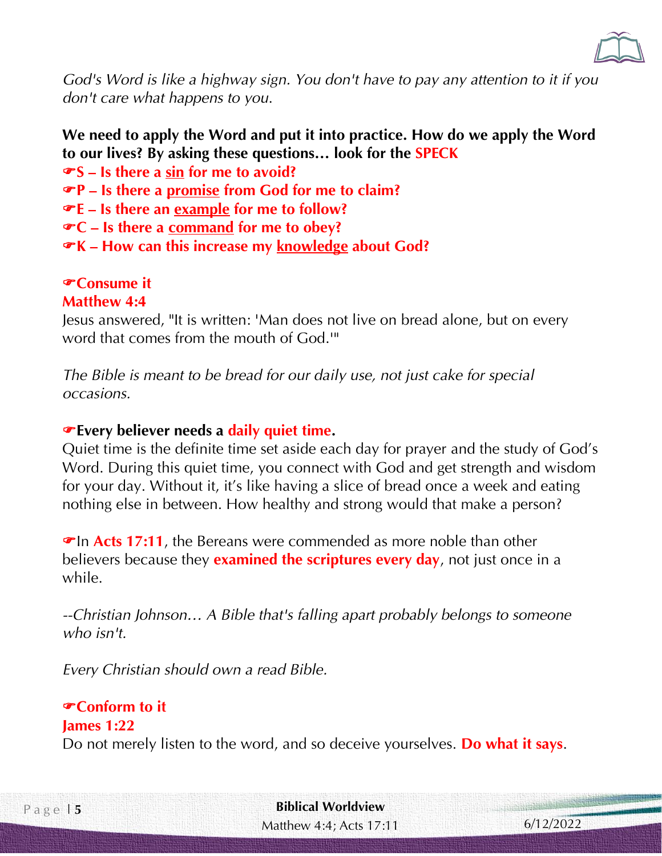

*God's Word is like a highway sign. You don't have to pay any attention to it if you don't care what happens to you*.

## **We need to apply the Word and put it into practice. How do we apply the Word to our lives? By asking these questions… look for the SPECK**

**S – Is there a sin for me to avoid?**

- **P – Is there a promise from God for me to claim?**
- **E – Is there an example for me to follow?**
- **C – Is there a command for me to obey?**
- **K – How can this increase my knowledge about God?**

## **Consume it**

## **Matthew 4:4**

Jesus answered, "It is written: 'Man does not live on bread alone, but on every word that comes from the mouth of God.'"

*The Bible is meant to be bread for our daily use, not just cake for special occasions.*

### **Every believer needs a daily quiet time.**

Quiet time is the definite time set aside each day for prayer and the study of God's Word. During this quiet time, you connect with God and get strength and wisdom for your day. Without it, it's like having a slice of bread once a week and eating nothing else in between. How healthy and strong would that make a person?

**The Acts 17:11**, the Bereans were commended as more noble than other believers because they **examined the scriptures every day**, not just once in a while.

*--Christian Johnson… A Bible that's falling apart probably belongs to someone who isn't.* 

*Every Christian should own a read Bible.*

## **Conform to it**

#### **James 1:22**

Do not merely listen to the word, and so deceive yourselves. **Do what it says**.

Matthew 4:4; Acts 17:11 P a g e | **5 Biblical Worldview**